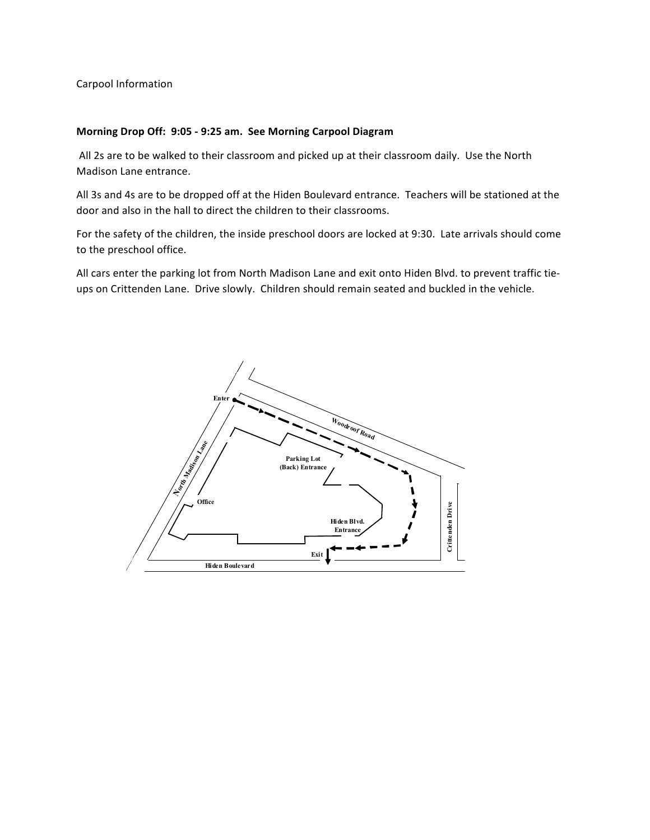Carpool Information

## **Morning Drop Off: 9:05 - 9:25 am. See Morning Carpool Diagram**

All 2s are to be walked to their classroom and picked up at their classroom daily. Use the North Madison Lane entrance.

All 3s and 4s are to be dropped off at the Hiden Boulevard entrance. Teachers will be stationed at the door and also in the hall to direct the children to their classrooms.

For the safety of the children, the inside preschool doors are locked at 9:30. Late arrivals should come to the preschool office.

All cars enter the parking lot from North Madison Lane and exit onto Hiden Blvd. to prevent traffic tieups on Crittenden Lane. Drive slowly. Children should remain seated and buckled in the vehicle.